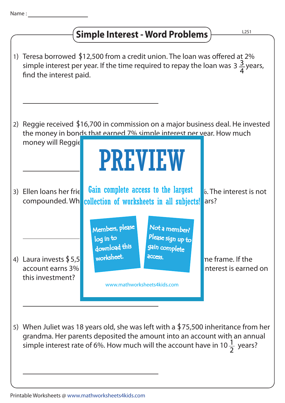## **Simple Interest - Word Problems**